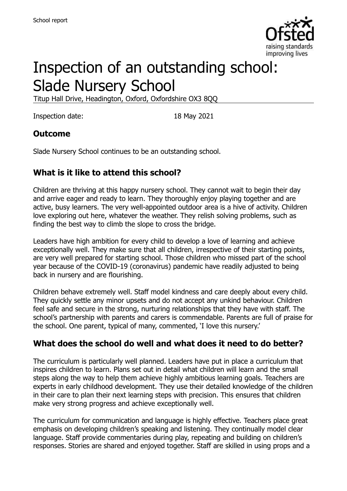

# Inspection of an outstanding school: Slade Nursery School

Titup Hall Drive, Headington, Oxford, Oxfordshire OX3 8QQ

Inspection date: 18 May 2021

#### **Outcome**

Slade Nursery School continues to be an outstanding school.

### **What is it like to attend this school?**

Children are thriving at this happy nursery school. They cannot wait to begin their day and arrive eager and ready to learn. They thoroughly enjoy playing together and are active, busy learners. The very well-appointed outdoor area is a hive of activity. Children love exploring out here, whatever the weather. They relish solving problems, such as finding the best way to climb the slope to cross the bridge.

Leaders have high ambition for every child to develop a love of learning and achieve exceptionally well. They make sure that all children, irrespective of their starting points, are very well prepared for starting school. Those children who missed part of the school year because of the COVID-19 (coronavirus) pandemic have readily adjusted to being back in nursery and are flourishing.

Children behave extremely well. Staff model kindness and care deeply about every child. They quickly settle any minor upsets and do not accept any unkind behaviour. Children feel safe and secure in the strong, nurturing relationships that they have with staff. The school's partnership with parents and carers is commendable. Parents are full of praise for the school. One parent, typical of many, commented, 'I love this nursery.'

#### **What does the school do well and what does it need to do better?**

The curriculum is particularly well planned. Leaders have put in place a curriculum that inspires children to learn. Plans set out in detail what children will learn and the small steps along the way to help them achieve highly ambitious learning goals. Teachers are experts in early childhood development. They use their detailed knowledge of the children in their care to plan their next learning steps with precision. This ensures that children make very strong progress and achieve exceptionally well.

The curriculum for communication and language is highly effective. Teachers place great emphasis on developing children's speaking and listening. They continually model clear language. Staff provide commentaries during play, repeating and building on children's responses. Stories are shared and enjoyed together. Staff are skilled in using props and a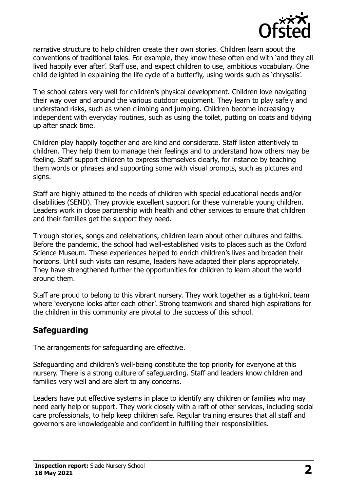

narrative structure to help children create their own stories. Children learn about the conventions of traditional tales. For example, they know these often end with 'and they all lived happily ever after'. Staff use, and expect children to use, ambitious vocabulary. One child delighted in explaining the life cycle of a butterfly, using words such as 'chrysalis'.

The school caters very well for children's physical development. Children love navigating their way over and around the various outdoor equipment. They learn to play safely and understand risks, such as when climbing and jumping. Children become increasingly independent with everyday routines, such as using the toilet, putting on coats and tidying up after snack time.

Children play happily together and are kind and considerate. Staff listen attentively to children. They help them to manage their feelings and to understand how others may be feeling. Staff support children to express themselves clearly, for instance by teaching them words or phrases and supporting some with visual prompts, such as pictures and signs.

Staff are highly attuned to the needs of children with special educational needs and/or disabilities (SEND). They provide excellent support for these vulnerable young children. Leaders work in close partnership with health and other services to ensure that children and their families get the support they need.

Through stories, songs and celebrations, children learn about other cultures and faiths. Before the pandemic, the school had well-established visits to places such as the Oxford Science Museum. These experiences helped to enrich children's lives and broaden their horizons. Until such visits can resume, leaders have adapted their plans appropriately. They have strengthened further the opportunities for children to learn about the world around them.

Staff are proud to belong to this vibrant nursery. They work together as a tight-knit team where 'everyone looks after each other'. Strong teamwork and shared high aspirations for the children in this community are pivotal to the success of this school.

## **Safeguarding**

The arrangements for safeguarding are effective.

Safeguarding and children's well-being constitute the top priority for everyone at this nursery. There is a strong culture of safeguarding. Staff and leaders know children and families very well and are alert to any concerns.

Leaders have put effective systems in place to identify any children or families who may need early help or support. They work closely with a raft of other services, including social care professionals, to help keep children safe. Regular training ensures that all staff and governors are knowledgeable and confident in fulfilling their responsibilities.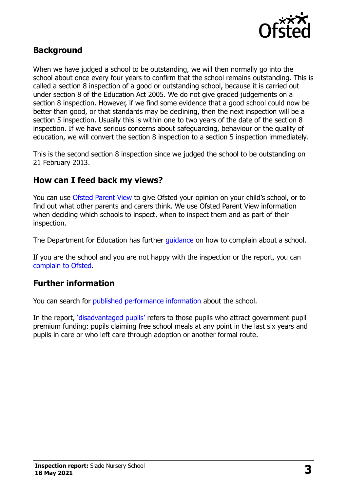

## **Background**

When we have judged a school to be outstanding, we will then normally go into the school about once every four years to confirm that the school remains outstanding. This is called a section 8 inspection of a good or outstanding school, because it is carried out under section 8 of the Education Act 2005. We do not give graded judgements on a section 8 inspection. However, if we find some evidence that a good school could now be better than good, or that standards may be declining, then the next inspection will be a section 5 inspection. Usually this is within one to two years of the date of the section 8 inspection. If we have serious concerns about safeguarding, behaviour or the quality of education, we will convert the section 8 inspection to a section 5 inspection immediately.

This is the second section 8 inspection since we judged the school to be outstanding on 21 February 2013.

#### **How can I feed back my views?**

You can use [Ofsted Parent View](https://parentview.ofsted.gov.uk/) to give Ofsted your opinion on your child's school, or to find out what other parents and carers think. We use Ofsted Parent View information when deciding which schools to inspect, when to inspect them and as part of their inspection.

The Department for Education has further quidance on how to complain about a school.

If you are the school and you are not happy with the inspection or the report, you can [complain to Ofsted.](https://www.gov.uk/complain-ofsted-report)

### **Further information**

You can search for [published performance information](http://www.compare-school-performance.service.gov.uk/) about the school.

In the report, '[disadvantaged pupils](http://www.gov.uk/guidance/pupil-premium-information-for-schools-and-alternative-provision-settings)' refers to those pupils who attract government pupil premium funding: pupils claiming free school meals at any point in the last six years and pupils in care or who left care through adoption or another formal route.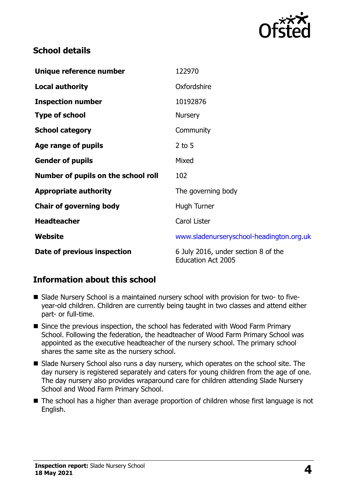

## **School details**

| Unique reference number             | 122970                                                           |
|-------------------------------------|------------------------------------------------------------------|
| <b>Local authority</b>              | Oxfordshire                                                      |
| <b>Inspection number</b>            | 10192876                                                         |
| <b>Type of school</b>               | <b>Nursery</b>                                                   |
| <b>School category</b>              | Community                                                        |
| Age range of pupils                 | 2 to $5$                                                         |
| <b>Gender of pupils</b>             | Mixed                                                            |
| Number of pupils on the school roll | 102                                                              |
| <b>Appropriate authority</b>        | The governing body                                               |
| <b>Chair of governing body</b>      | Hugh Turner                                                      |
| <b>Headteacher</b>                  | Carol Lister                                                     |
| Website                             | www.sladenurseryschool-headington.org.uk                         |
| Date of previous inspection         | 6 July 2016, under section 8 of the<br><b>Education Act 2005</b> |

## **Information about this school**

- Slade Nursery School is a maintained nursery school with provision for two- to fiveyear-old children. Children are currently being taught in two classes and attend either part- or full-time.
- Since the previous inspection, the school has federated with Wood Farm Primary School. Following the federation, the headteacher of Wood Farm Primary School was appointed as the executive headteacher of the nursery school. The primary school shares the same site as the nursery school.
- Slade Nursery School also runs a day nursery, which operates on the school site. The day nursery is registered separately and caters for young children from the age of one. The day nursery also provides wraparound care for children attending Slade Nursery School and Wood Farm Primary School.
- The school has a higher than average proportion of children whose first language is not English.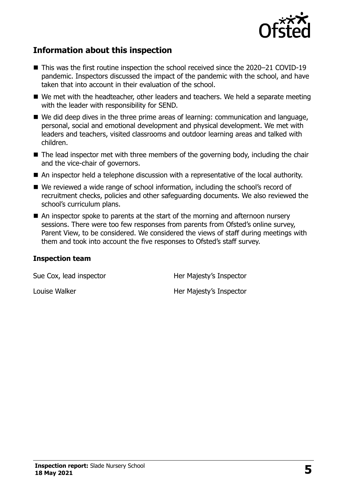

## **Information about this inspection**

- This was the first routine inspection the school received since the 2020–21 COVID-19 pandemic. Inspectors discussed the impact of the pandemic with the school, and have taken that into account in their evaluation of the school.
- We met with the headteacher, other leaders and teachers. We held a separate meeting with the leader with responsibility for SEND.
- We did deep dives in the three prime areas of learning: communication and language, personal, social and emotional development and physical development. We met with leaders and teachers, visited classrooms and outdoor learning areas and talked with children.
- The lead inspector met with three members of the governing body, including the chair and the vice-chair of governors.
- An inspector held a telephone discussion with a representative of the local authority.
- We reviewed a wide range of school information, including the school's record of recruitment checks, policies and other safeguarding documents. We also reviewed the school's curriculum plans.
- An inspector spoke to parents at the start of the morning and afternoon nursery sessions. There were too few responses from parents from Ofsted's online survey, Parent View, to be considered. We considered the views of staff during meetings with them and took into account the five responses to Ofsted's staff survey.

#### **Inspection team**

Sue Cox, lead inspector **Her Majesty's Inspector** 

Louise Walker **Her Majesty's Inspector**